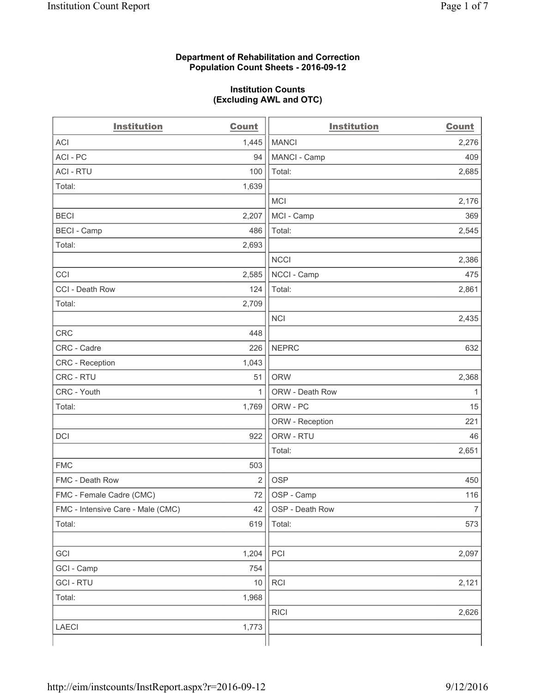### **Department of Rehabilitation and Correction Population Count Sheets - 2016-09-12**

### **Institution Counts (Excluding AWL and OTC)**

| <b>Institution</b>                | <b>Count</b>   | <b>Institution</b> | <b>Count</b>   |
|-----------------------------------|----------------|--------------------|----------------|
| <b>ACI</b>                        | 1,445          | <b>MANCI</b>       | 2,276          |
| ACI - PC                          | 94             | MANCI - Camp       | 409            |
| <b>ACI - RTU</b>                  | 100            | Total:             | 2,685          |
| Total:                            | 1,639          |                    |                |
|                                   |                | <b>MCI</b>         | 2,176          |
| <b>BECI</b>                       | 2,207          | MCI - Camp         | 369            |
| <b>BECI</b> - Camp                | 486            | Total:             | 2,545          |
| Total:                            | 2,693          |                    |                |
|                                   |                | <b>NCCI</b>        | 2,386          |
| CCI                               | 2,585          | NCCI - Camp        | 475            |
| CCI - Death Row                   | 124            | Total:             | 2,861          |
| Total:                            | 2,709          |                    |                |
|                                   |                | <b>NCI</b>         | 2,435          |
| <b>CRC</b>                        | 448            |                    |                |
| CRC - Cadre                       | 226            | <b>NEPRC</b>       | 632            |
| <b>CRC</b> - Reception            | 1,043          |                    |                |
| CRC - RTU                         | 51             | <b>ORW</b>         | 2,368          |
| CRC - Youth                       | $\mathbf{1}$   | ORW - Death Row    | 1              |
| Total:                            | 1,769          | ORW - PC           | 15             |
|                                   |                | ORW - Reception    | 221            |
| DCI                               | 922            | ORW - RTU          | 46             |
|                                   |                | Total:             | 2,651          |
| <b>FMC</b>                        | 503            |                    |                |
| FMC - Death Row                   | $\overline{2}$ | <b>OSP</b>         | 450            |
| FMC - Female Cadre (CMC)          | 72             | OSP - Camp         | 116            |
| FMC - Intensive Care - Male (CMC) | 42             | OSP - Death Row    | $\overline{7}$ |
| Total:                            | 619            | Total:             | 573            |
|                                   |                |                    |                |
| GCI                               | 1,204          | PCI                | 2,097          |
| GCI - Camp                        | 754            |                    |                |
| <b>GCI - RTU</b>                  | 10             | RCI                | 2,121          |
| Total:                            | 1,968          |                    |                |
|                                   |                | <b>RICI</b>        | 2,626          |
| LAECI                             | 1,773          |                    |                |
|                                   |                |                    |                |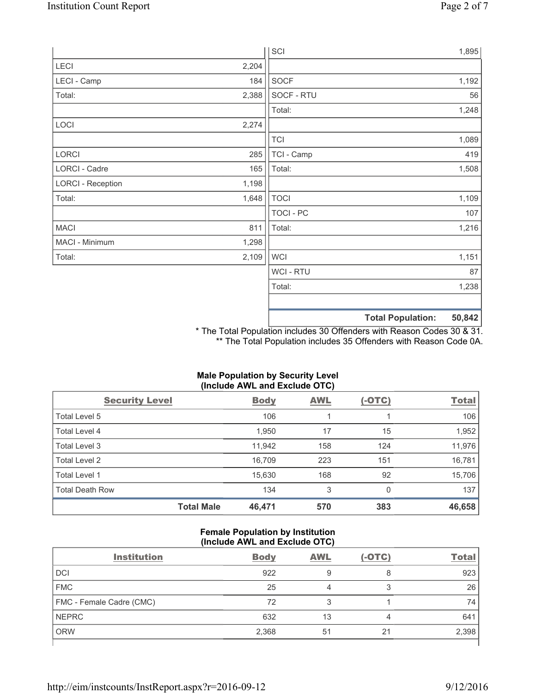|                          |       | SCI            |                          | 1,895  |
|--------------------------|-------|----------------|--------------------------|--------|
| LECI                     | 2,204 |                |                          |        |
| LECI - Camp              | 184   | SOCF           |                          | 1,192  |
| Total:                   | 2,388 | SOCF - RTU     |                          | 56     |
|                          |       | Total:         |                          | 1,248  |
| LOCI                     | 2,274 |                |                          |        |
|                          |       | <b>TCI</b>     |                          | 1,089  |
| LORCI                    | 285   | TCI - Camp     |                          | 419    |
| LORCI - Cadre            | 165   | Total:         |                          | 1,508  |
| <b>LORCI - Reception</b> | 1,198 |                |                          |        |
| Total:                   | 1,648 | <b>TOCI</b>    |                          | 1,109  |
|                          |       | TOCI - PC      |                          | 107    |
| <b>MACI</b>              | 811   | Total:         |                          | 1,216  |
| MACI - Minimum           | 1,298 |                |                          |        |
| Total:                   | 2,109 | <b>WCI</b>     |                          | 1,151  |
|                          |       | <b>WCI-RTU</b> |                          | 87     |
|                          |       | Total:         |                          | 1,238  |
|                          |       |                |                          |        |
|                          |       |                | <b>Total Population:</b> | 50,842 |

\* The Total Population includes 30 Offenders with Reason Codes 30 & 31. \*\* The Total Population includes 35 Offenders with Reason Code 0A.

# **Male Population by Security Level (Include AWL and Exclude OTC)**

| <b>Security Level</b>  |                   | <b>Body</b> | <b>AWL</b> | $(-OTC)$ | <b>Total</b> |
|------------------------|-------------------|-------------|------------|----------|--------------|
| Total Level 5          |                   | 106         | 1          |          | 106          |
| Total Level 4          |                   | 1,950       | 17         | 15       | 1,952        |
| Total Level 3          |                   | 11,942      | 158        | 124      | 11,976       |
| Total Level 2          |                   | 16,709      | 223        | 151      | 16,781       |
| Total Level 1          |                   | 15,630      | 168        | 92       | 15,706       |
| <b>Total Death Row</b> |                   | 134         | 3          | 0        | 137          |
|                        | <b>Total Male</b> | 46,471      | 570        | 383      | 46,658       |

### **Female Population by Institution (Include AWL and Exclude OTC)**

| <b>Institution</b>       | <b>Body</b> | <b>AWL</b> | $(-OTC)$ | <b>Total</b> |
|--------------------------|-------------|------------|----------|--------------|
| <b>DCI</b>               | 922         | 9          | 8        | 923          |
| <b>FMC</b>               | 25          |            | ◠<br>O   | 26           |
| FMC - Female Cadre (CMC) | 72          | ີ          |          | 74           |
| <b>NEPRC</b>             | 632         | 13         | 4        | 641          |
| <b>ORW</b>               | 2,368       | 51         | 21       | 2,398        |
|                          |             |            |          |              |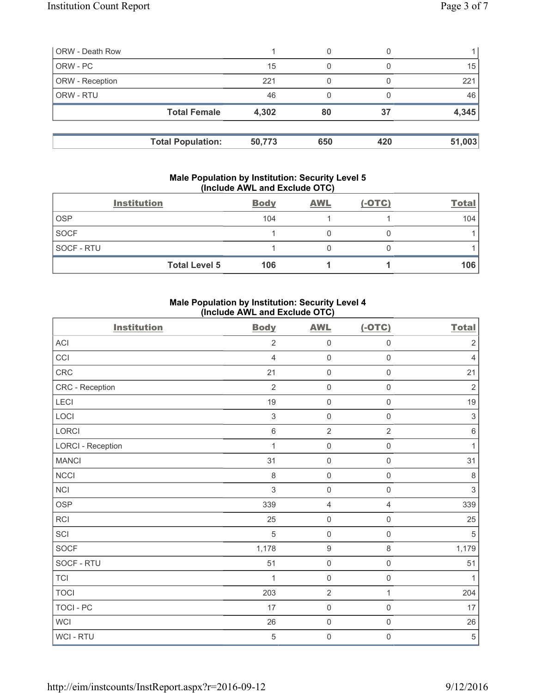| <b>ORW - Death Row</b> |                          |        | 0   |     |        |
|------------------------|--------------------------|--------|-----|-----|--------|
| ORW - PC               |                          | 15     | 0   |     | 15     |
| ORW - Reception        |                          | 221    |     |     | 221    |
| ORW - RTU              |                          | 46     | 0   |     | 46     |
|                        | <b>Total Female</b>      | 4,302  | 80  | 37  | 4,345  |
|                        | <b>Total Population:</b> | 50,773 | 650 | 420 | 51,003 |

### **Male Population by Institution: Security Level 5 (Include AWL and Exclude OTC)**

|                   | <b>Institution</b>   | <b>Body</b> | <b>AWL</b> | $(-OTC)$ | <b>Total</b> |
|-------------------|----------------------|-------------|------------|----------|--------------|
| <b>OSP</b>        |                      | 104         |            |          | 104          |
| <b>SOCF</b>       |                      |             |            |          |              |
| <b>SOCF - RTU</b> |                      |             |            |          |              |
|                   | <b>Total Level 5</b> | 106         |            |          | 106          |

## **Male Population by Institution: Security Level 4 (Include AWL and Exclude OTC)**

| <b>Institution</b>       | <b>Body</b>    | <b>AWL</b>          | $(-OTC)$            | <b>Total</b>              |
|--------------------------|----------------|---------------------|---------------------|---------------------------|
| <b>ACI</b>               | $\overline{2}$ | $\mathsf 0$         | $\mathsf{O}\xspace$ | $\sqrt{2}$                |
| CCI                      | $\overline{4}$ | $\mathbf 0$         | $\mathsf{O}\xspace$ | $\overline{4}$            |
| <b>CRC</b>               | 21             | $\mathsf{O}\xspace$ | $\mathsf 0$         | 21                        |
| CRC - Reception          | $\overline{2}$ | $\mathsf 0$         | $\mathsf{O}\xspace$ | $\sqrt{2}$                |
| LECI                     | 19             | $\mathbf 0$         | $\mathsf{O}\xspace$ | 19                        |
| LOCI                     | 3              | $\mathsf{O}\xspace$ | $\mathsf{O}$        | $\ensuremath{\mathsf{3}}$ |
| LORCI                    | $\,6\,$        | $\overline{2}$      | $\overline{2}$      | $\,6\,$                   |
| <b>LORCI - Reception</b> | 1              | $\mathsf{O}\xspace$ | $\mathsf 0$         | $\mathbf{1}$              |
| <b>MANCI</b>             | 31             | $\mathbf 0$         | $\mathsf{O}\xspace$ | 31                        |
| NCCI                     | $\,8\,$        | $\mathsf 0$         | $\mathsf{O}\xspace$ | $\,8\,$                   |
| NCI                      | 3              | $\mathsf{O}\xspace$ | $\mathsf 0$         | $\mathsf 3$               |
| <b>OSP</b>               | 339            | $\overline{4}$      | 4                   | 339                       |
| RCI                      | 25             | $\mathsf{O}\xspace$ | $\mathsf 0$         | 25                        |
| SCI                      | $\overline{5}$ | $\mathbf 0$         | $\mathsf 0$         | $\overline{5}$            |
| SOCF                     | 1,178          | $\boldsymbol{9}$    | 8                   | 1,179                     |
| SOCF - RTU               | 51             | $\mathsf{O}\xspace$ | $\mathsf 0$         | 51                        |
| <b>TCI</b>               | 1              | $\mathsf 0$         | $\mathsf{O}\xspace$ | $\mathbf{1}$              |
| <b>TOCI</b>              | 203            | $\mathbf 2$         | $\mathbf{1}$        | 204                       |
| <b>TOCI - PC</b>         | 17             | $\mathsf{O}\xspace$ | $\mathsf 0$         | 17                        |
| <b>WCI</b>               | 26             | $\mathsf 0$         | $\mathsf{O}\xspace$ | 26                        |
| WCI - RTU                | $\,$ 5 $\,$    | $\mathsf 0$         | 0                   | $\,$ 5 $\,$               |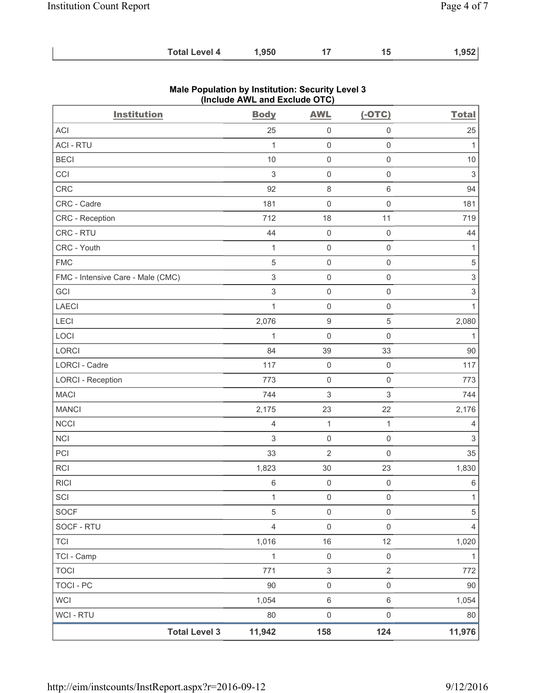| <b>Total Level 4</b> | 1,950 |  |  | 1,952 |
|----------------------|-------|--|--|-------|
|----------------------|-------|--|--|-------|

| <b>Institution</b>                | <b>Body</b>    | <b>AWL</b>                | $(-OTC)$                  | <b>Total</b>              |
|-----------------------------------|----------------|---------------------------|---------------------------|---------------------------|
| ACI                               | 25             | $\mathsf{O}\xspace$       | $\mathbf 0$               | 25                        |
| <b>ACI - RTU</b>                  | 1              | $\mathsf{O}\xspace$       | $\mathsf{O}\xspace$       | $\mathbf{1}$              |
| <b>BECI</b>                       | 10             | $\mathsf{O}\xspace$       | $\mathsf{O}\xspace$       | $10$                      |
| CCI                               | $\mathsf 3$    | $\mathsf{O}\xspace$       | $\mathsf{O}\xspace$       | $\ensuremath{\mathsf{3}}$ |
| CRC                               | 92             | $\,8\,$                   | $\,6$                     | 94                        |
| CRC - Cadre                       | 181            | $\mathsf{O}\xspace$       | $\mathsf{O}\xspace$       | 181                       |
| CRC - Reception                   | 712            | 18                        | 11                        | 719                       |
| CRC - RTU                         | 44             | $\mathsf{O}\xspace$       | $\mathsf{O}\xspace$       | 44                        |
| CRC - Youth                       | $\mathbf{1}$   | $\mathsf{O}\xspace$       | $\mathsf 0$               | $\mathbf{1}$              |
| <b>FMC</b>                        | 5              | $\mathsf{O}\xspace$       | $\mathsf{O}\xspace$       | $\,$ 5 $\,$               |
| FMC - Intensive Care - Male (CMC) | $\mathsf 3$    | $\mathsf{O}\xspace$       | $\mathsf{O}\xspace$       | $\ensuremath{\mathsf{3}}$ |
| GCI                               | 3              | $\mathsf{O}\xspace$       | $\mathsf{O}\xspace$       | $\mathfrak{S}$            |
| <b>LAECI</b>                      | $\mathbf 1$    | $\mathsf{O}\xspace$       | $\mathsf{O}\xspace$       | $\mathbf{1}$              |
| LECI                              | 2,076          | $\boldsymbol{9}$          | $\mathbf 5$               | 2,080                     |
| LOCI                              | $\mathbf{1}$   | $\mathsf{O}\xspace$       | $\mathsf{O}\xspace$       | $\mathbf{1}$              |
| LORCI                             | 84             | 39                        | 33                        | 90                        |
| LORCI - Cadre                     | 117            | $\mathsf{O}\xspace$       | $\mathsf{O}\xspace$       | 117                       |
| <b>LORCI - Reception</b>          | 773            | $\mathsf{O}\xspace$       | $\mathsf 0$               | 773                       |
| <b>MACI</b>                       | 744            | 3                         | $\ensuremath{\mathsf{3}}$ | 744                       |
| <b>MANCI</b>                      | 2,175          | 23                        | 22                        | 2,176                     |
| <b>NCCI</b>                       | $\overline{4}$ | $\mathbf{1}$              | $\mathbf{1}$              | 4                         |
| <b>NCI</b>                        | 3              | $\mathsf{O}\xspace$       | $\mathsf{O}\xspace$       | $\mathfrak{S}$            |
| PCI                               | 33             | $\overline{2}$            | $\mathsf{O}\xspace$       | 35                        |
| <b>RCI</b>                        | 1,823          | 30                        | 23                        | 1,830                     |
| <b>RICI</b>                       | 6              | $\mathsf{O}\xspace$       | $\mathbf 0$               | $\,6\,$                   |
| SCI                               | 1              | 0                         | $\boldsymbol{0}$          | 1                         |
| SOCF                              | 5              | $\mathsf{O}\xspace$       | $\mathsf{O}\xspace$       | 5                         |
| SOCF - RTU                        | $\overline{4}$ | $\mathsf{O}\xspace$       | $\mathsf{O}\xspace$       | $\overline{4}$            |
| <b>TCI</b>                        | 1,016          | 16                        | 12                        | 1,020                     |
| TCI - Camp                        | $\mathbf{1}$   | $\mathsf{O}\xspace$       | $\mathsf{O}\xspace$       | $\mathbf{1}$              |
| <b>TOCI</b>                       | 771            | $\ensuremath{\mathsf{3}}$ | $\overline{2}$            | 772                       |
| <b>TOCI - PC</b>                  | 90             | $\mathsf{O}\xspace$       | $\mathsf{O}\xspace$       | 90                        |
| <b>WCI</b>                        | 1,054          | $\,6\,$                   | $\,6\,$                   | 1,054                     |
| WCI - RTU                         | $80\,$         | $\mathsf{O}\xspace$       | $\mathsf{O}\xspace$       | 80                        |
| <b>Total Level 3</b>              | 11,942         | 158                       | 124                       | 11,976                    |

## **Male Population by Institution: Security Level 3 (Include AWL and Exclude OTC)**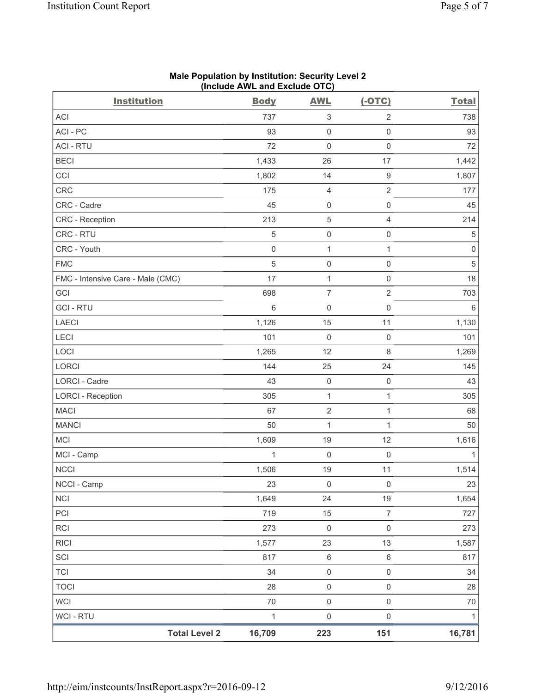| <b>Institution</b>                | $(1.018407)(1.1241)$ and Exolute $(0.10)$<br><b>Body</b> | <b>AWL</b>                | $(-OTC)$            | <b>Total</b>        |
|-----------------------------------|----------------------------------------------------------|---------------------------|---------------------|---------------------|
| ACI                               | 737                                                      | $\ensuremath{\mathsf{3}}$ | $\sqrt{2}$          | 738                 |
| ACI-PC                            | 93                                                       | $\mathsf{O}\xspace$       | $\mathsf{O}\xspace$ | 93                  |
| <b>ACI - RTU</b>                  | 72                                                       | $\mathsf 0$               | $\mathsf{O}\xspace$ | 72                  |
| <b>BECI</b>                       | 1,433                                                    | 26                        | 17                  | 1,442               |
| CCI                               | 1,802                                                    | 14                        | $\hbox{9}$          | 1,807               |
| CRC                               | 175                                                      | $\overline{4}$            | $\sqrt{2}$          | 177                 |
| CRC - Cadre                       | 45                                                       | $\mathsf{O}\xspace$       | $\mathsf 0$         | 45                  |
| CRC - Reception                   | 213                                                      | $\,$ 5 $\,$               | $\overline{4}$      | 214                 |
| CRC - RTU                         | 5                                                        | $\mathsf{O}\xspace$       | $\mathsf{O}\xspace$ | $\sqrt{5}$          |
| CRC - Youth                       | $\mathsf{O}\xspace$                                      | $\mathbf 1$               | $\mathbf{1}$        | $\mathsf{O}\xspace$ |
| <b>FMC</b>                        | $\sqrt{5}$                                               | $\mathsf{O}\xspace$       | $\mathsf{O}\xspace$ | $\sqrt{5}$          |
| FMC - Intensive Care - Male (CMC) | 17                                                       | $\mathbf 1$               | $\mathsf{O}\xspace$ | 18                  |
| GCI                               | 698                                                      | $\boldsymbol{7}$          | $\sqrt{2}$          | 703                 |
| <b>GCI-RTU</b>                    | 6                                                        | $\mathsf 0$               | $\mathsf 0$         | $\,6\,$             |
| <b>LAECI</b>                      | 1,126                                                    | 15                        | 11                  | 1,130               |
| LECI                              | 101                                                      | $\mathbf 0$               | $\mathsf{O}\xspace$ | 101                 |
| LOCI                              | 1,265                                                    | 12                        | $\,8\,$             | 1,269               |
| LORCI                             | 144                                                      | 25                        | 24                  | 145                 |
| LORCI - Cadre                     | 43                                                       | $\mathsf{O}\xspace$       | $\mathsf{O}\xspace$ | 43                  |
| <b>LORCI - Reception</b>          | 305                                                      | $\mathbf{1}$              | $\mathbf{1}$        | 305                 |
| <b>MACI</b>                       | 67                                                       | $\sqrt{2}$                | $\mathbf 1$         | 68                  |
| <b>MANCI</b>                      | 50                                                       | $\mathbf 1$               | 1                   | 50                  |
| <b>MCI</b>                        | 1,609                                                    | 19                        | 12                  | 1,616               |
| MCI - Camp                        | $\mathbf{1}$                                             | $\mathsf{O}\xspace$       | $\mathsf{O}\xspace$ | $\mathbf{1}$        |
| <b>NCCI</b>                       | 1,506                                                    | 19                        | 11                  | 1,514               |
| NCCI - Camp                       | 23                                                       | 0                         | 0                   | 23                  |
| <b>NCI</b>                        | 1,649                                                    | 24                        | 19                  | 1,654               |
| PCI                               | 719                                                      | 15                        | $\boldsymbol{7}$    | 727                 |
| RCI                               | 273                                                      | $\mathsf 0$               | $\mathsf{O}\xspace$ | 273                 |
| <b>RICI</b>                       | 1,577                                                    | 23                        | 13                  | 1,587               |
| SCI                               | 817                                                      | $\,6\,$                   | $\,6\,$             | 817                 |
| <b>TCI</b>                        | 34                                                       | $\mathsf{O}\xspace$       | $\mathsf{O}\xspace$ | 34                  |
| <b>TOCI</b>                       | 28                                                       | $\mathsf 0$               | $\mathsf{O}\xspace$ | 28                  |
| <b>WCI</b>                        | 70                                                       | $\mathsf 0$               | $\mathsf{O}\xspace$ | 70                  |
| WCI - RTU                         | $\mathbf 1$                                              | $\mathsf{O}\xspace$       | $\mathsf{O}\xspace$ | $\mathbf{1}$        |
| <b>Total Level 2</b>              | 16,709                                                   | 223                       | 151                 | 16,781              |

#### **Male Population by Institution: Security Level 2 (Include AWL and Exclude OTC)**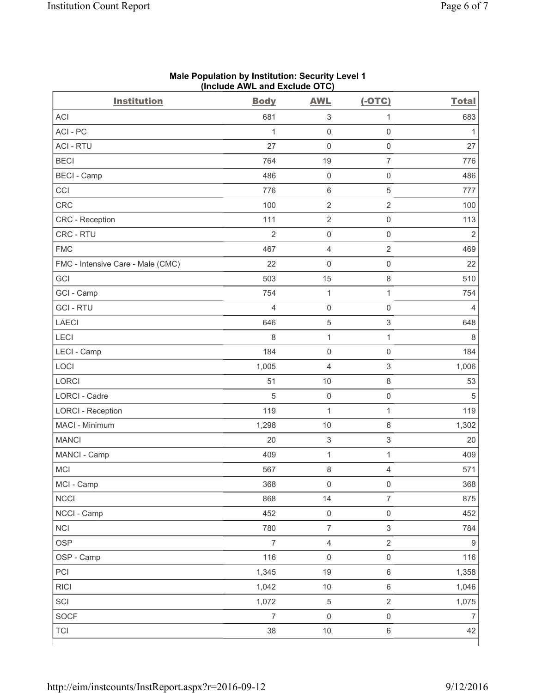| <b>Institution</b>                | <b>Body</b>    | <b>AWL</b>                | $(-OTC)$                  | <b>Total</b>     |
|-----------------------------------|----------------|---------------------------|---------------------------|------------------|
| <b>ACI</b>                        | 681            | $\ensuremath{\mathsf{3}}$ | $\mathbf{1}$              | 683              |
| ACI-PC                            | 1              | $\mathsf 0$               | $\mathbf 0$               | $\mathbf{1}$     |
| <b>ACI - RTU</b>                  | 27             | $\mathsf{O}\xspace$       | $\mathsf{O}\xspace$       | 27               |
| <b>BECI</b>                       | 764            | 19                        | $\overline{7}$            | 776              |
| <b>BECI - Camp</b>                | 486            | $\mathsf 0$               | $\mathsf 0$               | 486              |
| CCI                               | 776            | $\,6\,$                   | $\,$ 5 $\,$               | 777              |
| CRC                               | 100            | $\overline{2}$            | $\sqrt{2}$                | 100              |
| CRC - Reception                   | 111            | $\sqrt{2}$                | $\mathsf{O}\xspace$       | 113              |
| CRC - RTU                         | $\overline{2}$ | $\mathsf{O}\xspace$       | $\mathbf 0$               | $\overline{2}$   |
| <b>FMC</b>                        | 467            | $\overline{4}$            | $\sqrt{2}$                | 469              |
| FMC - Intensive Care - Male (CMC) | 22             | $\mathsf{O}\xspace$       | $\mathbf 0$               | 22               |
| GCI                               | 503            | 15                        | 8                         | 510              |
| GCI - Camp                        | 754            | $\mathbf{1}$              | $\mathbf 1$               | 754              |
| <b>GCI-RTU</b>                    | 4              | $\mathsf{O}\xspace$       | $\mathsf{O}\xspace$       | 4                |
| <b>LAECI</b>                      | 646            | $\mathbf 5$               | $\ensuremath{\mathsf{3}}$ | 648              |
| LECI                              | 8              | $\mathbf{1}$              | $\mathbf{1}$              | 8                |
| LECI - Camp                       | 184            | $\mathsf{O}\xspace$       | $\mathsf{O}\xspace$       | 184              |
| LOCI                              | 1,005          | $\overline{4}$            | $\ensuremath{\mathsf{3}}$ | 1,006            |
| LORCI                             | 51             | 10                        | 8                         | 53               |
| LORCI - Cadre                     | 5              | $\mathsf{O}\xspace$       | $\mathsf{O}\xspace$       | 5                |
| <b>LORCI - Reception</b>          | 119            | $\mathbf{1}$              | $\mathbf{1}$              | 119              |
| MACI - Minimum                    | 1,298          | 10                        | $\,6\,$                   | 1,302            |
| <b>MANCI</b>                      | 20             | $\ensuremath{\mathsf{3}}$ | $\ensuremath{\mathsf{3}}$ | 20               |
| MANCI - Camp                      | 409            | $\mathbf 1$               | 1                         | 409              |
| MCI                               | 567            | 8                         | $\overline{4}$            | 571              |
| MCI - Camp                        | 368            | $\mathsf{O}\xspace$       | $\mathsf{O}\xspace$       | 368              |
| <b>NCCI</b>                       | 868            | 14                        | $\overline{7}$            | 875              |
| NCCI - Camp                       | 452            | $\mathsf{O}\xspace$       | $\mathsf{O}\xspace$       | 452              |
| <b>NCI</b>                        | 780            | $\overline{7}$            | $\mathsf 3$               | 784              |
| <b>OSP</b>                        | $\overline{7}$ | $\overline{4}$            | $\overline{2}$            | $\boldsymbol{9}$ |
| OSP - Camp                        | 116            | $\mathsf{O}\xspace$       | $\mathsf{O}\xspace$       | 116              |
| PCI                               | 1,345          | 19                        | $\,6\,$                   | 1,358            |
| <b>RICI</b>                       | 1,042          | $10$                      | $\,6\,$                   | 1,046            |
| SCI                               | 1,072          | $\,$ 5 $\,$               | $\overline{2}$            | 1,075            |
| SOCF                              | $\overline{7}$ | $\mathsf{O}\xspace$       | $\mathsf{O}\xspace$       | $\overline{7}$   |
| <b>TCI</b>                        | 38             | $10$                      | $\,6\,$                   | 42               |

#### **Male Population by Institution: Security Level 1 (Include AWL and Exclude OTC)**